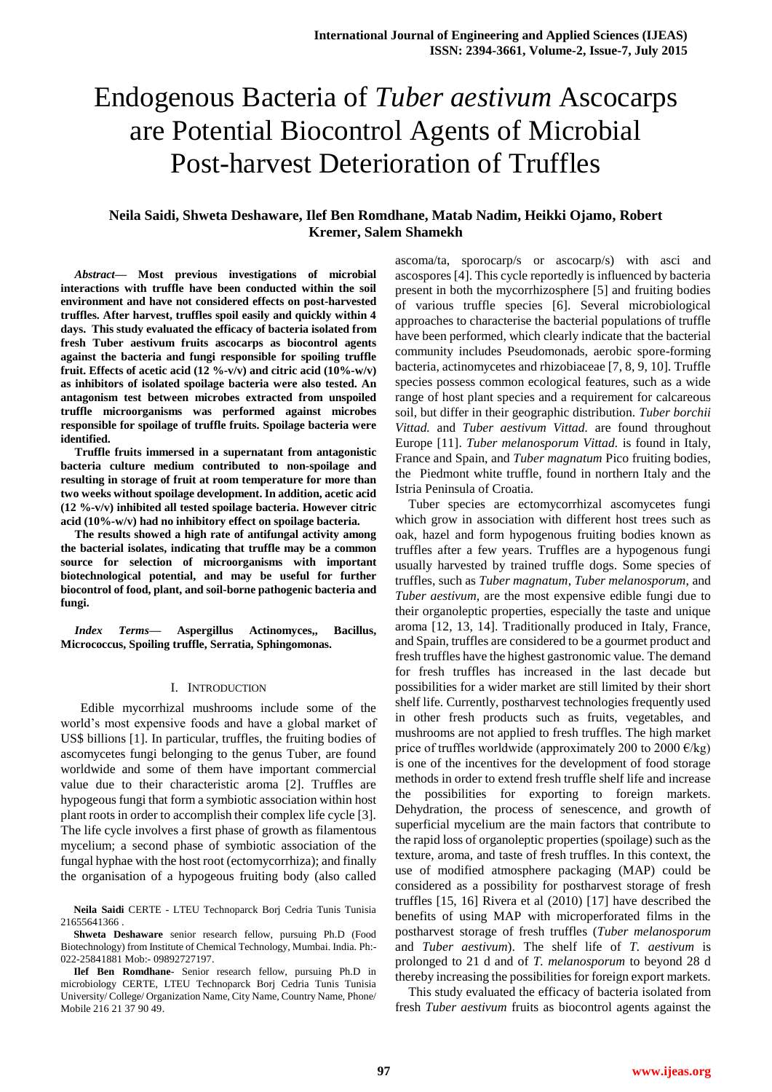# **Neila Saidi, Shweta Deshaware, Ilef Ben Romdhane, Matab Nadim, Heikki Ojamo, Robert Kremer, Salem Shamekh**

*Abstract***— Most previous investigations of microbial interactions with truffle have been conducted within the soil environment and have not considered effects on post-harvested truffles. After harvest, truffles spoil easily and quickly within 4 days. This study evaluated the efficacy of bacteria isolated from fresh Tuber aestivum fruits ascocarps as biocontrol agents against the bacteria and fungi responsible for spoiling truffle fruit. Effects of acetic acid (12 %-v/v) and citric acid (10%-w/v) as inhibitors of isolated spoilage bacteria were also tested. An antagonism test between microbes extracted from unspoiled truffle microorganisms was performed against microbes responsible for spoilage of truffle fruits. Spoilage bacteria were identified.** 

**Truffle fruits immersed in a supernatant from antagonistic bacteria culture medium contributed to non-spoilage and resulting in storage of fruit at room temperature for more than two weeks without spoilage development. In addition, acetic acid (12 %-v/v) inhibited all tested spoilage bacteria. However citric acid (10%-w/v) had no inhibitory effect on spoilage bacteria.** 

**The results showed a high rate of antifungal activity among the bacterial isolates, indicating that truffle may be a common source for selection of microorganisms with important biotechnological potential, and may be useful for further biocontrol of food, plant, and soil-borne pathogenic bacteria and fungi.**

*Index Terms***— Aspergillus Actinomyces,, Bacillus, Micrococcus, Spoiling truffle, Serratia, Sphingomonas.**

#### I. INTRODUCTION

 Edible mycorrhizal mushrooms include some of the world's most expensive foods and have a global market of US\$ billions [1]. In particular, truffles, the fruiting bodies of ascomycetes fungi belonging to the genus Tuber, are found worldwide and some of them have important commercial value due to their characteristic aroma [2]. Truffles are hypogeous fungi that form a symbiotic association within host plant roots in order to accomplish their complex life cycle [3]. The life cycle involves a first phase of growth as filamentous mycelium; a second phase of symbiotic association of the fungal hyphae with the host root (ectomycorrhiza); and finally the organisation of a hypogeous fruiting body (also called

**Neila Saidi** CERTE - LTEU Technoparck Borj Cedria Tunis Tunisia 21655641366 .

**Shweta Deshaware** senior research fellow, pursuing Ph.D (Food Biotechnology) from Institute of Chemical Technology, Mumbai. India. Ph:- 022-25841881 Mob:- 09892727197.

**Ilef Ben Romdhane**- Senior research fellow, pursuing Ph.D in microbiology CERTE, LTEU Technoparck Borj Cedria Tunis Tunisia University/ College/ Organization Name, City Name, Country Name, Phone/ Mobile 216 21 37 90 49.

ascoma/ta, sporocarp/s or ascocarp/s) with asci and ascospores [4]. This cycle reportedly is influenced by bacteria present in both the mycorrhizosphere [5] and fruiting bodies of various truffle species [6]. Several microbiological approaches to characterise the bacterial populations of truffle have been performed, which clearly indicate that the bacterial community includes Pseudomonads, aerobic spore-forming bacteria, actinomycetes and rhizobiaceae [7, 8, 9, 10]. Truffle species possess common ecological features, such as a wide range of host plant species and a requirement for calcareous soil, but differ in their geographic distribution. *Tuber borchii Vittad.* and *Tuber aestivum Vittad.* are found throughout Europe [11]. *Tuber melanosporum Vittad.* is found in Italy, France and Spain, and *Tuber magnatum* Pico fruiting bodies, the Piedmont white truffle, found in northern Italy and the Istria Peninsula of Croatia.

Tuber species are ectomycorrhizal ascomycetes fungi which grow in association with different host trees such as oak, hazel and form hypogenous fruiting bodies known as truffles after a few years. Truffles are a hypogenous fungi usually harvested by trained truffle dogs. Some species of truffles, such as *Tuber magnatum*, *Tuber melanosporum*, and *Tuber aestivum*, are the most expensive edible fungi due to their organoleptic properties, especially the taste and unique aroma [12, 13, 14]. Traditionally produced in Italy, France, and Spain, truffles are considered to be a gourmet product and fresh truffles have the highest gastronomic value. The demand for fresh truffles has increased in the last decade but possibilities for a wider market are still limited by their short shelf life. Currently, postharvest technologies frequently used in other fresh products such as fruits, vegetables, and mushrooms are not applied to fresh truffles. The high market price of truffles worldwide (approximately 200 to 2000  $\epsilon$ /kg) is one of the incentives for the development of food storage methods in order to extend fresh truffle shelf life and increase the possibilities for exporting to foreign markets. Dehydration, the process of senescence, and growth of superficial mycelium are the main factors that contribute to the rapid loss of organoleptic properties (spoilage) such as the texture, aroma, and taste of fresh truffles. In this context, the use of modified atmosphere packaging (MAP) could be considered as a possibility for postharvest storage of fresh truffles [15, 16] Rivera et al (2010) [17] have described the benefits of using MAP with microperforated films in the postharvest storage of fresh truffles (*Tuber melanosporum* and *Tuber aestivum*). The shelf life of *T. aestivum* is prolonged to 21 d and of *T. melanosporum* to beyond 28 d thereby increasing the possibilities for foreign export markets.

This study evaluated the efficacy of bacteria isolated from fresh *Tuber aestivum* fruits as biocontrol agents against the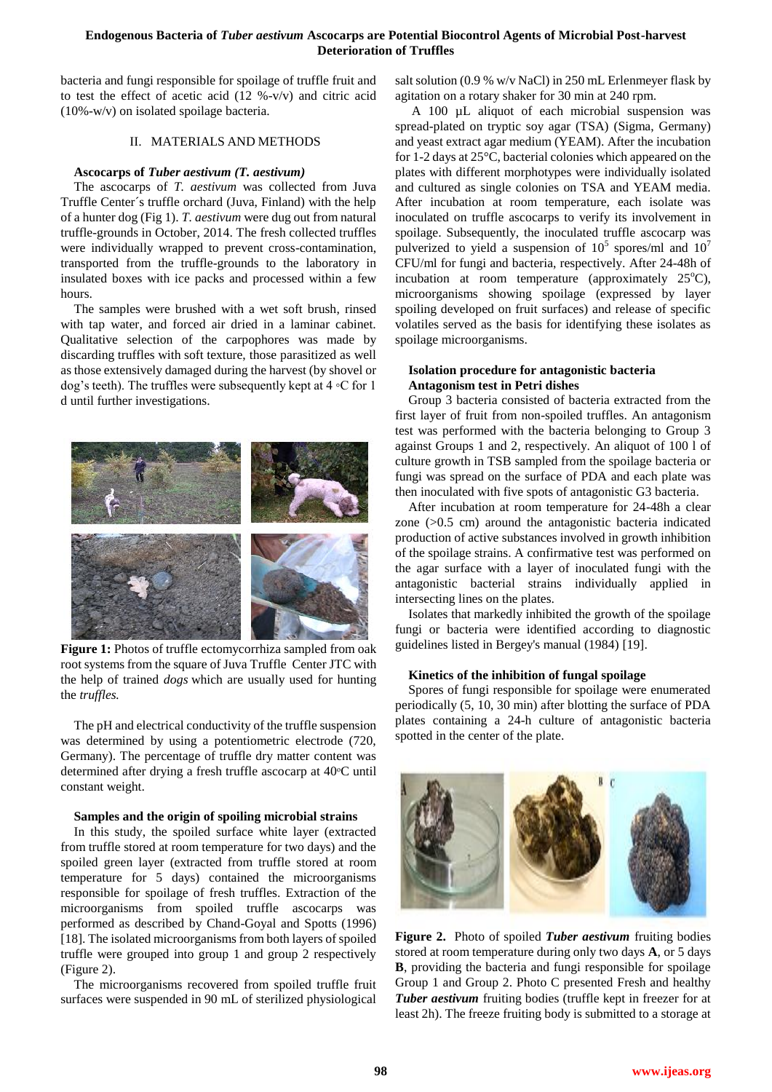bacteria and fungi responsible for spoilage of truffle fruit and to test the effect of acetic acid  $(12 \frac{9}{2} - \frac{V}{V})$  and citric acid (10%-w/v) on isolated spoilage bacteria.

## II. MATERIALS AND METHODS

## **Ascocarps of** *Tuber aestivum (T. aestivum)*

The ascocarps of *T. aestivum* was collected from Juva Truffle Center´s truffle orchard (Juva, Finland) with the help of a hunter dog (Fig 1). *T. aestivum* were dug out from natural truffle-grounds in October, 2014. The fresh collected truffles were individually wrapped to prevent cross-contamination, transported from the truffle-grounds to the laboratory in insulated boxes with ice packs and processed within a few hours.

The samples were brushed with a wet soft brush, rinsed with tap water, and forced air dried in a laminar cabinet. Qualitative selection of the carpophores was made by discarding truffles with soft texture, those parasitized as well as those extensively damaged during the harvest (by shovel or dog's teeth). The truffles were subsequently kept at 4 ◦C for 1 d until further investigations.



**Figure 1:** Photos of truffle ectomycorrhiza sampled from oak root systems from the square of Juva Truffle Center JTC with the help of trained *dogs* which are usually used for hunting the *truffles.* 

The pH and electrical conductivity of the truffle suspension was determined by using a potentiometric electrode (720, Germany). The percentage of truffle dry matter content was determined after drying a fresh truffle ascocarp at 40ᵒC until constant weight.

#### **Samples and the origin of spoiling microbial strains**

In this study, the spoiled surface white layer (extracted from truffle stored at room temperature for two days) and the spoiled green layer (extracted from truffle stored at room temperature for 5 days) contained the microorganisms responsible for spoilage of fresh truffles. Extraction of the microorganisms from spoiled truffle ascocarps was performed as described by Chand-Goyal and Spotts (1996) [18]. The isolated microorganisms from both layers of spoiled truffle were grouped into group 1 and group 2 respectively (Figure 2).

The microorganisms recovered from spoiled truffle fruit surfaces were suspended in 90 mL of sterilized physiological

salt solution (0.9 % w/v NaCl) in 250 mL Erlenmeyer flask by agitation on a rotary shaker for 30 min at 240 rpm.

A 100 µL aliquot of each microbial suspension was spread-plated on tryptic soy agar (TSA) (Sigma, Germany) and yeast extract agar medium (YEAM). After the incubation for 1-2 days at 25°C, bacterial colonies which appeared on the plates with different morphotypes were individually isolated and cultured as single colonies on TSA and YEAM media. After incubation at room temperature, each isolate was inoculated on truffle ascocarps to verify its involvement in spoilage. Subsequently, the inoculated truffle ascocarp was pulverized to yield a suspension of  $10^5$  spores/ml and  $10^7$ CFU/ml for fungi and bacteria, respectively. After 24-48h of incubation at room temperature (approximately  $25^{\circ}$ C), microorganisms showing spoilage (expressed by layer spoiling developed on fruit surfaces) and release of specific volatiles served as the basis for identifying these isolates as spoilage microorganisms.

## **Isolation procedure for antagonistic bacteria Antagonism test in Petri dishes**

Group 3 bacteria consisted of bacteria extracted from the first layer of fruit from non-spoiled truffles. An antagonism test was performed with the bacteria belonging to Group 3 against Groups 1 and 2, respectively. An aliquot of 100 l of culture growth in TSB sampled from the spoilage bacteria or fungi was spread on the surface of PDA and each plate was then inoculated with five spots of antagonistic G3 bacteria.

After incubation at room temperature for 24-48h a clear zone  $(>0.5$  cm) around the antagonistic bacteria indicated production of active substances involved in growth inhibition of the spoilage strains. A confirmative test was performed on the agar surface with a layer of inoculated fungi with the antagonistic bacterial strains individually applied in intersecting lines on the plates.

Isolates that markedly inhibited the growth of the spoilage fungi or bacteria were identified according to diagnostic guidelines listed in Bergey's manual (1984) [19].

#### **Kinetics of the inhibition of fungal spoilage**

Spores of fungi responsible for spoilage were enumerated periodically (5, 10, 30 min) after blotting the surface of PDA plates containing a 24-h culture of antagonistic bacteria spotted in the center of the plate.



**Figure 2.** Photo of spoiled *Tuber aestivum* fruiting bodies stored at room temperature during only two days **A**, or 5 days **B**, providing the bacteria and fungi responsible for spoilage Group 1 and Group 2. Photo C presented Fresh and healthy *Tuber aestivum* fruiting bodies (truffle kept in freezer for at least 2h). The freeze fruiting body is submitted to a storage at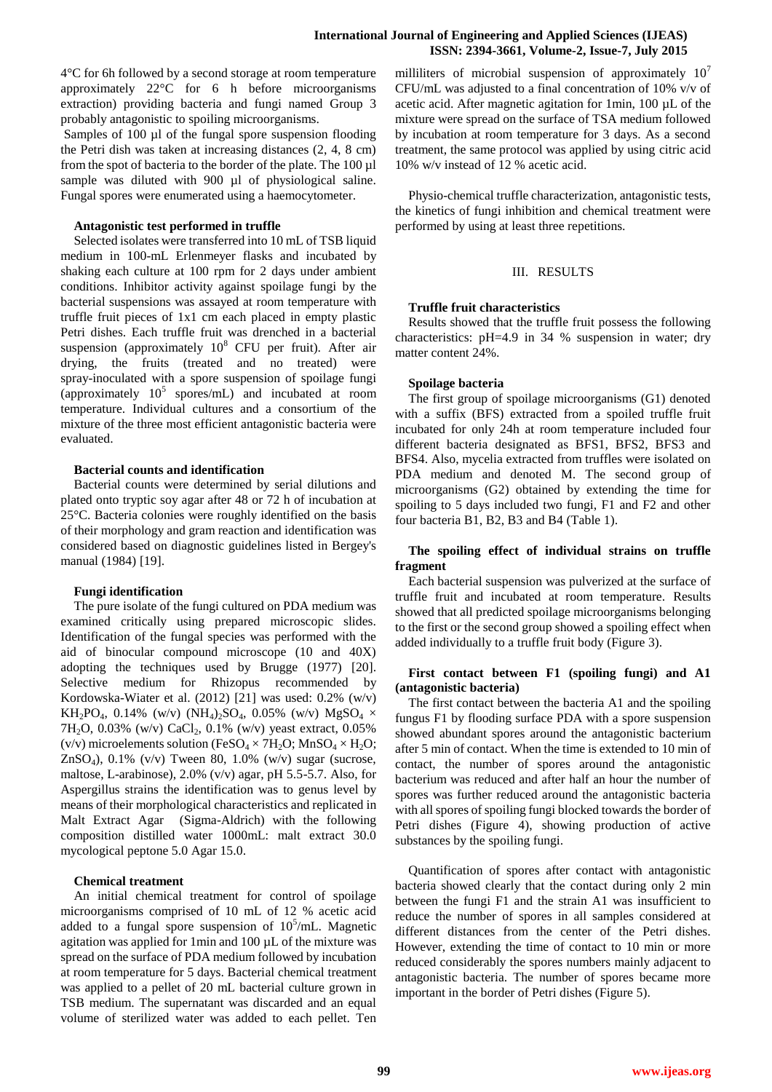4°C for 6h followed by a second storage at room temperature approximately 22°C for 6 h before microorganisms extraction) providing bacteria and fungi named Group 3 probably antagonistic to spoiling microorganisms.

Samples of 100 µl of the fungal spore suspension flooding the Petri dish was taken at increasing distances (2, 4, 8 cm) from the spot of bacteria to the border of the plate. The 100 µl sample was diluted with 900 µl of physiological saline. Fungal spores were enumerated using a haemocytometer.

#### **Antagonistic test performed in truffle**

Selected isolates were transferred into 10 mL of TSB liquid medium in 100-mL Erlenmeyer flasks and incubated by shaking each culture at 100 rpm for 2 days under ambient conditions. Inhibitor activity against spoilage fungi by the bacterial suspensions was assayed at room temperature with truffle fruit pieces of 1x1 cm each placed in empty plastic Petri dishes. Each truffle fruit was drenched in a bacterial suspension (approximately  $10^8$  CFU per fruit). After air drying, the fruits (treated and no treated) were spray-inoculated with a spore suspension of spoilage fungi (approximately  $10^5$  spores/mL) and incubated at room temperature. Individual cultures and a consortium of the mixture of the three most efficient antagonistic bacteria were evaluated.

#### **Bacterial counts and identification**

Bacterial counts were determined by serial dilutions and plated onto tryptic soy agar after 48 or 72 h of incubation at 25°C. Bacteria colonies were roughly identified on the basis of their morphology and gram reaction and identification was considered based on diagnostic guidelines listed in Bergey's manual (1984) [19].

## **Fungi identification**

The pure isolate of the fungi cultured on PDA medium was examined critically using prepared microscopic slides. Identification of the fungal species was performed with the aid of binocular compound microscope (10 and 40X) adopting the techniques used by Brugge (1977) [20]. Selective medium for Rhizopus recommended by Kordowska-Wiater et al. (2012) [21] was used: 0.2% (w/v) KH<sub>2</sub>PO<sub>4</sub>, 0.14% (w/v) (NH<sub>4</sub>)<sub>2</sub>SO<sub>4</sub>, 0.05% (w/v) MgSO<sub>4</sub>  $\times$ 7H<sub>2</sub>O, 0.03% (w/v) CaCl<sub>2</sub>, 0.1% (w/v) yeast extract, 0.05% (v/v) microelements solution (FeSO<sub>4</sub>  $\times$  7H<sub>2</sub>O; MnSO<sub>4</sub>  $\times$  H<sub>2</sub>O; ZnSO<sub>4</sub>), 0.1% (v/v) Tween 80, 1.0% (w/v) sugar (sucrose, maltose, L-arabinose), 2.0% (v/v) agar, pH 5.5-5.7. Also, for Aspergillus strains the identification was to genus level by means of their morphological characteristics and replicated in Malt Extract Agar (Sigma-Aldrich) with the following composition distilled water 1000mL: malt extract 30.0 mycological peptone 5.0 Agar 15.0.

## **Chemical treatment**

An initial chemical treatment for control of spoilage microorganisms comprised of 10 mL of 12 % acetic acid added to a fungal spore suspension of  $10^5$ /mL. Magnetic agitation was applied for 1min and 100 µL of the mixture was spread on the surface of PDA medium followed by incubation at room temperature for 5 days. Bacterial chemical treatment was applied to a pellet of 20 mL bacterial culture grown in TSB medium. The supernatant was discarded and an equal volume of sterilized water was added to each pellet. Ten

milliliters of microbial suspension of approximately  $10<sup>7</sup>$ CFU/mL was adjusted to a final concentration of 10% v/v of acetic acid. After magnetic agitation for 1min, 100 µL of the mixture were spread on the surface of TSA medium followed by incubation at room temperature for 3 days. As a second treatment, the same protocol was applied by using citric acid 10% w/v instead of 12 % acetic acid.

Physio-chemical truffle characterization, antagonistic tests, the kinetics of fungi inhibition and chemical treatment were performed by using at least three repetitions.

### III. RESULTS

#### **Truffle fruit characteristics**

Results showed that the truffle fruit possess the following characteristics: pH=4.9 in 34 % suspension in water; dry matter content 24%.

#### **Spoilage bacteria**

The first group of spoilage microorganisms (G1) denoted with a suffix (BFS) extracted from a spoiled truffle fruit incubated for only 24h at room temperature included four different bacteria designated as BFS1, BFS2, BFS3 and BFS4. Also, mycelia extracted from truffles were isolated on PDA medium and denoted M. The second group of microorganisms (G2) obtained by extending the time for spoiling to 5 days included two fungi, F1 and F2 and other four bacteria B1, B2, B3 and B4 (Table 1).

# **The spoiling effect of individual strains on truffle fragment**

Each bacterial suspension was pulverized at the surface of truffle fruit and incubated at room temperature. Results showed that all predicted spoilage microorganisms belonging to the first or the second group showed a spoiling effect when added individually to a truffle fruit body (Figure 3).

## **First contact between F1 (spoiling fungi) and A1 (antagonistic bacteria)**

The first contact between the bacteria A1 and the spoiling fungus F1 by flooding surface PDA with a spore suspension showed abundant spores around the antagonistic bacterium after 5 min of contact. When the time is extended to 10 min of contact, the number of spores around the antagonistic bacterium was reduced and after half an hour the number of spores was further reduced around the antagonistic bacteria with all spores of spoiling fungi blocked towards the border of Petri dishes (Figure 4), showing production of active substances by the spoiling fungi.

Quantification of spores after contact with antagonistic bacteria showed clearly that the contact during only 2 min between the fungi F1 and the strain A1 was insufficient to reduce the number of spores in all samples considered at different distances from the center of the Petri dishes. However, extending the time of contact to 10 min or more reduced considerably the spores numbers mainly adjacent to antagonistic bacteria. The number of spores became more important in the border of Petri dishes (Figure 5).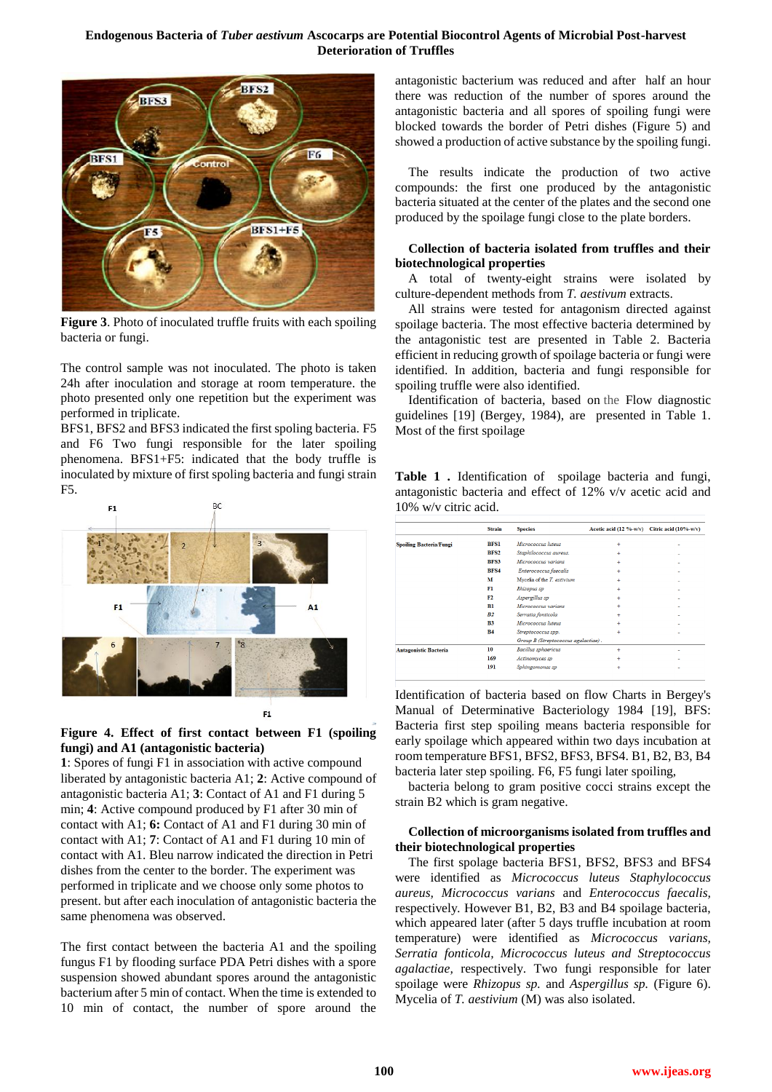

**Figure 3**. Photo of inoculated truffle fruits with each spoiling bacteria or fungi.

The control sample was not inoculated. The photo is taken 24h after inoculation and storage at room temperature. the photo presented only one repetition but the experiment was performed in triplicate.

BFS1, BFS2 and BFS3 indicated the first spoling bacteria*.* F5 and F6 Two fungi responsible for the later spoiling phenomena. BFS1+F5: indicated that the body truffle is inoculated by mixture of first spoling bacteria and fungi strain F5.



**Figure 4. Effect of first contact between F1 (spoiling fungi) and A1 (antagonistic bacteria)**

**1**: Spores of fungi F1 in association with active compound liberated by antagonistic bacteria A1; **2**: Active compound of antagonistic bacteria A1; **3**: Contact of A1 and F1 during 5 min; **4**: Active compound produced by F1 after 30 min of contact with A1; **6:** Contact of A1 and F1 during 30 min of contact with A1; **7**: Contact of A1 and F1 during 10 min of contact with A1. Bleu narrow indicated the direction in Petri dishes from the center to the border. The experiment was performed in triplicate and we choose only some photos to present. but after each inoculation of antagonistic bacteria the same phenomena was observed.

The first contact between the bacteria A1 and the spoiling fungus F1 by flooding surface PDA Petri dishes with a spore suspension showed abundant spores around the antagonistic bacterium after 5 min of contact. When the time is extended to 10 min of contact, the number of spore around the antagonistic bacterium was reduced and after half an hour there was reduction of the number of spores around the antagonistic bacteria and all spores of spoiling fungi were blocked towards the border of Petri dishes (Figure 5) and showed a production of active substance by the spoiling fungi.

The results indicate the production of two active compounds: the first one produced by the antagonistic bacteria situated at the center of the plates and the second one produced by the spoilage fungi close to the plate borders.

# **Collection of bacteria isolated from truffles and their biotechnological properties**

A total of twenty-eight strains were isolated by culture-dependent methods from *T. aestivum* extracts.

All strains were tested for antagonism directed against spoilage bacteria. The most effective bacteria determined by the antagonistic test are presented in Table 2. Bacteria efficient in reducing growth of spoilage bacteria or fungi were identified. In addition, bacteria and fungi responsible for spoiling truffle were also identified.

Identification of bacteria, based on the Flow diagnostic guidelines [19] (Bergey, 1984), are presented in Table 1. Most of the first spoilage

**Table 1 .** Identification of spoilage bacteria and fungi, antagonistic bacteria and effect of 12% v/v acetic acid and 10% w/v citric acid.

|                                | <b>Strain</b>    | <b>Species</b>                      | Acetic acid $(12 \frac{9}{6} - w/v)$ | Citric acid $(10\% - w/v)$ |
|--------------------------------|------------------|-------------------------------------|--------------------------------------|----------------------------|
| <b>Spoiling Bacteria/Fungi</b> | <b>BESI</b>      | Micrococcus luteus                  | ÷                                    |                            |
|                                | BFS <sub>2</sub> | Staphilococcus aureus.              | $\ddot{}$                            |                            |
|                                | <b>BFS3</b>      | Micrococcus varians                 | $\ddot{}$                            |                            |
|                                | <b>BFS4</b>      | Enterococcus faecalis               | ÷                                    |                            |
|                                | м                | Mycelia of the T. estivium          | $\ddot{}$                            |                            |
|                                | Fl               | Rhizopus sp                         | ÷                                    |                            |
|                                | F2               | Aspergillus sp                      | $\ddot{}$                            |                            |
|                                | B1               | Micrococcus varians                 | ÷                                    |                            |
|                                | B <sub>2</sub>   | Serratia fonticola                  | $\ddot{}$                            |                            |
|                                | B <sub>3</sub>   | Micrococcus luteus                  | $\ddot{}$                            |                            |
|                                | <b>B4</b>        | Streptococcus spp.                  | ÷                                    |                            |
|                                |                  | Group B (Streptococcus agalactiae). |                                      |                            |
| <b>Antagonistic Bacteria</b>   | 10               | <b>Bacillus</b> sphaericus          | ÷                                    |                            |
|                                | 169              | Actinomyces sp                      | $\ddot{}$                            |                            |
|                                | 191              | Sphingomonas sp                     | ÷                                    |                            |

Identification of bacteria based on flow Charts in Bergey's Manual of Determinative Bacteriology 1984 [19], BFS: Bacteria first step spoiling means bacteria responsible for early spoilage which appeared within two days incubation at room temperature BFS1, BFS2, BFS3, BFS4. B1, B2, B3, B4 bacteria later step spoiling. F6, F5 fungi later spoiling,

bacteria belong to gram positive cocci strains except the strain B2 which is gram negative.

# **Collection of microorganisms isolated from truffles and their biotechnological properties**

The first spolage bacteria BFS1, BFS2, BFS3 and BFS4 were identified as *Micrococcus luteus Staphylococcus aureus, Micrococcus varians* and *Enterococcus faecalis,*  respectively*.* However B1, B2, B3 and B4 spoilage bacteria, which appeared later (after 5 days truffle incubation at room temperature) were identified as *Micrococcus varians, Serratia fonticola, Micrococcus luteus and Streptococcus agalactiae,* respectively. Two fungi responsible for later spoilage were *Rhizopus sp.* and *Aspergillus sp.* (Figure 6). Mycelia of *T. aestivium* (M) was also isolated.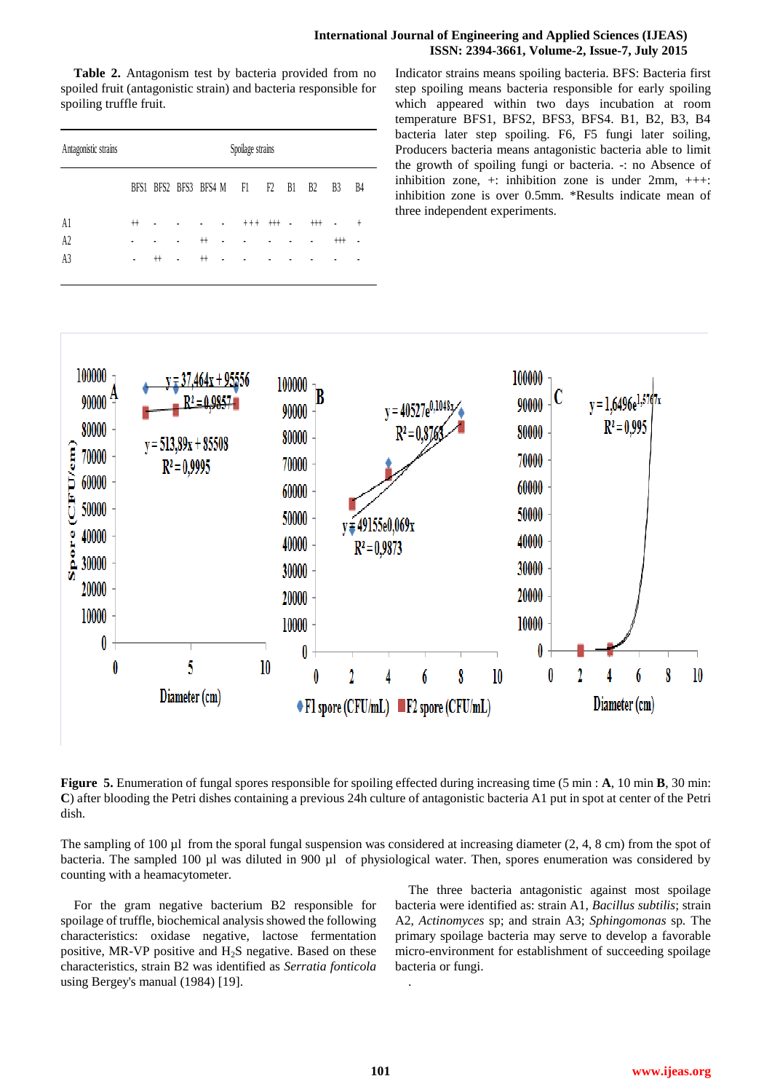## **International Journal of Engineering and Applied Sciences (IJEAS) ISSN: 2394-3661, Volume-2, Issue-7, July 2015**

**Table 2.** Antagonism test by bacteria provided from no spoiled fruit (antagonistic strain) and bacteria responsible for spoiling truffle fruit.

| Antagonistic strains | Spoilage strains |                          |   |        |                |       |      |                            |      |                      |                |
|----------------------|------------------|--------------------------|---|--------|----------------|-------|------|----------------------------|------|----------------------|----------------|
|                      |                  | BFS1 BFS2 BFS3 BFS4 M F1 |   |        |                |       | F2   | B1                         | B2   | B <sub>3</sub>       | B4             |
| A1                   | $^+$             |                          |   |        | $\blacksquare$ | $+++$ | $++$ | $\overline{\phantom{a}}$ . | $++$ | $\ddot{\phantom{0}}$ | $^{+}$         |
| A2                   |                  |                          |   | $^{+}$ |                |       | ٠    |                            |      | $++$                 | $\blacksquare$ |
| A <sub>3</sub>       | ٠                | $^+$                     | ٠ | $^+$   |                |       |      |                            |      |                      |                |

Indicator strains means spoiling bacteria. BFS: Bacteria first step spoiling means bacteria responsible for early spoiling which appeared within two days incubation at room temperature BFS1, BFS2, BFS3, BFS4. B1, B2, B3, B4 bacteria later step spoiling. F6, F5 fungi later soiling, Producers bacteria means antagonistic bacteria able to limit the growth of spoiling fungi or bacteria. -: no Absence of inhibition zone,  $+$ : inhibition zone is under  $2mm$ ,  $++$ : inhibition zone is over 0.5mm. \*Results indicate mean of three independent experiments.



**Figure 5.** Enumeration of fungal spores responsible for spoiling effected during increasing time (5 min : **A**, 10 min **B**, 30 min: **C**) after blooding the Petri dishes containing a previous 24h culture of antagonistic bacteria A1 put in spot at center of the Petri dish.

The sampling of 100  $\mu$ l from the sporal fungal suspension was considered at increasing diameter (2, 4, 8 cm) from the spot of bacteria. The sampled 100 µl was diluted in 900 µl of physiological water. Then, spores enumeration was considered by counting with a heamacytometer.

For the gram negative bacterium B2 responsible for spoilage of truffle, biochemical analysis showed the following characteristics: oxidase negative, lactose fermentation positive, MR-VP positive and  $H_2S$  negative. Based on these characteristics, strain B2 was identified as *Serratia fonticola*  using Bergey's manual (1984) [19].

The three bacteria antagonistic against most spoilage bacteria were identified as: strain A1, *Bacillus subtilis*; strain A2, *Actinomyces* sp; and strain A3; *Sphingomonas* sp*.* The primary spoilage bacteria may serve to develop a favorable micro-environment for establishment of succeeding spoilage bacteria or fungi.

.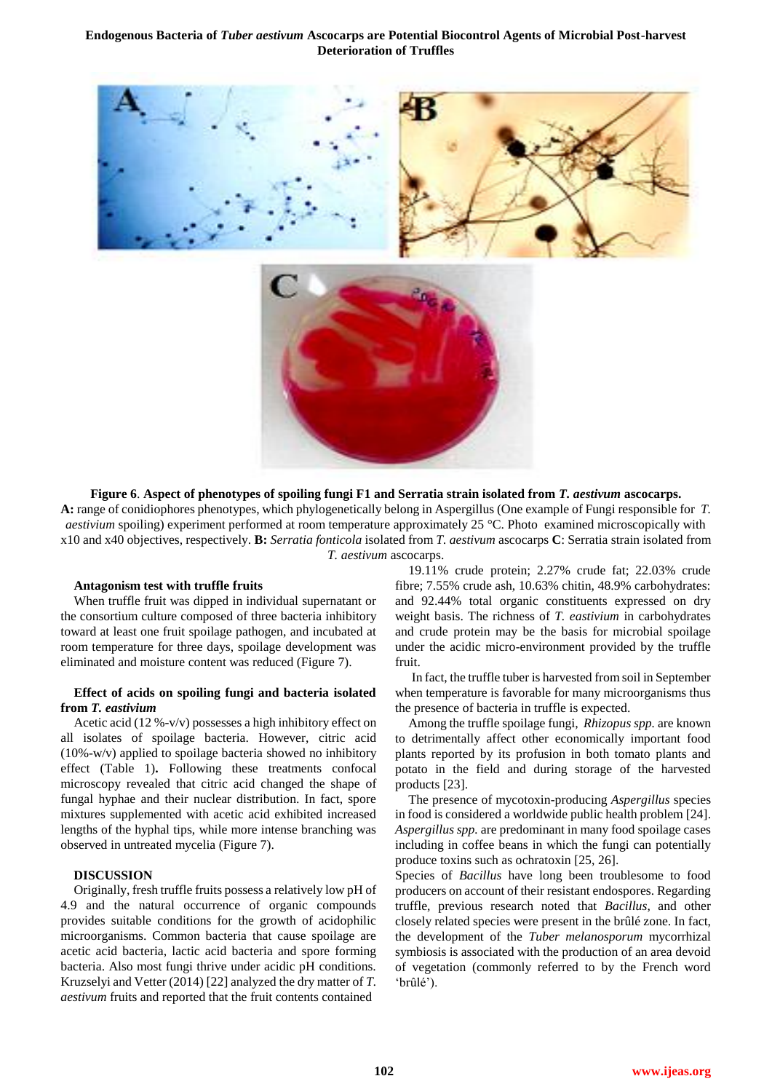



#### **Figure 6**. **Aspect of phenotypes of spoiling fungi F1 and Serratia strain isolated from** *T. aestivum* **ascocarps.**

**A:** range of conidiophores phenotypes, which phylogenetically belong in Aspergillus (One example of Fungi responsible for *T. aestivium* spoiling) experiment performed at room temperature approximately 25 °C. Photo examined microscopically with x10 and x40 objectives, respectively. **B:** *Serratia fonticola* isolated from *T. aestivum* ascocarps **C**: Serratia strain isolated from *T. aestivum* ascocarps.

#### **Antagonism test with truffle fruits**

When truffle fruit was dipped in individual supernatant or the consortium culture composed of three bacteria inhibitory toward at least one fruit spoilage pathogen, and incubated at room temperature for three days, spoilage development was eliminated and moisture content was reduced (Figure 7).

## **Effect of acids on spoiling fungi and bacteria isolated from** *T. eastivium*

Acetic acid (12 %-v/v) possesses a high inhibitory effect on all isolates of spoilage bacteria. However, citric acid (10%-w/v) applied to spoilage bacteria showed no inhibitory effect (Table 1)**.** Following these treatments confocal microscopy revealed that citric acid changed the shape of fungal hyphae and their nuclear distribution. In fact, spore mixtures supplemented with acetic acid exhibited increased lengths of the hyphal tips, while more intense branching was observed in untreated mycelia (Figure 7).

## **DISCUSSION**

Originally, fresh truffle fruits possess a relatively low pH of 4.9 and the natural occurrence of organic compounds provides suitable conditions for the growth of acidophilic microorganisms. Common bacteria that cause spoilage are acetic acid bacteria, lactic acid bacteria and spore forming bacteria. Also most fungi thrive under acidic pH conditions. Kruzselyi and Vetter (2014) [22] analyzed the dry matter of *T. aestivum* fruits and reported that the fruit contents contained

19.11% crude protein; 2.27% crude fat; 22.03% crude fibre; 7.55% crude ash, 10.63% chitin, 48.9% carbohydrates: and 92.44% total organic constituents expressed on dry weight basis. The richness of *T. eastivium* in carbohydrates and crude protein may be the basis for microbial spoilage under the acidic micro-environment provided by the truffle fruit.

In fact, the truffle tuber is harvested from soil in September when temperature is favorable for many microorganisms thus the presence of bacteria in truffle is expected.

Among the truffle spoilage fungi, *Rhizopus spp.* are known to detrimentally affect other economically important food plants reported by its profusion in both tomato plants and potato in the field and during storage of the harvested products [23].

The presence of mycotoxin-producing *Aspergillus* species in food is considered a worldwide public health problem [24]. *Aspergillus spp.* are predominant in many food spoilage cases including in coffee beans in which the fungi can potentially produce toxins such as ochratoxin [25, 26].

Species of *Bacillus* have long been troublesome to food producers on account of their resistant endospores. Regarding truffle, previous research noted that *Bacillus*, and other closely related species were present in the brûlé zone. In fact, the development of the *Tuber melanosporum* mycorrhizal symbiosis is associated with the production of an area devoid of vegetation (commonly referred to by the French word 'brûlé').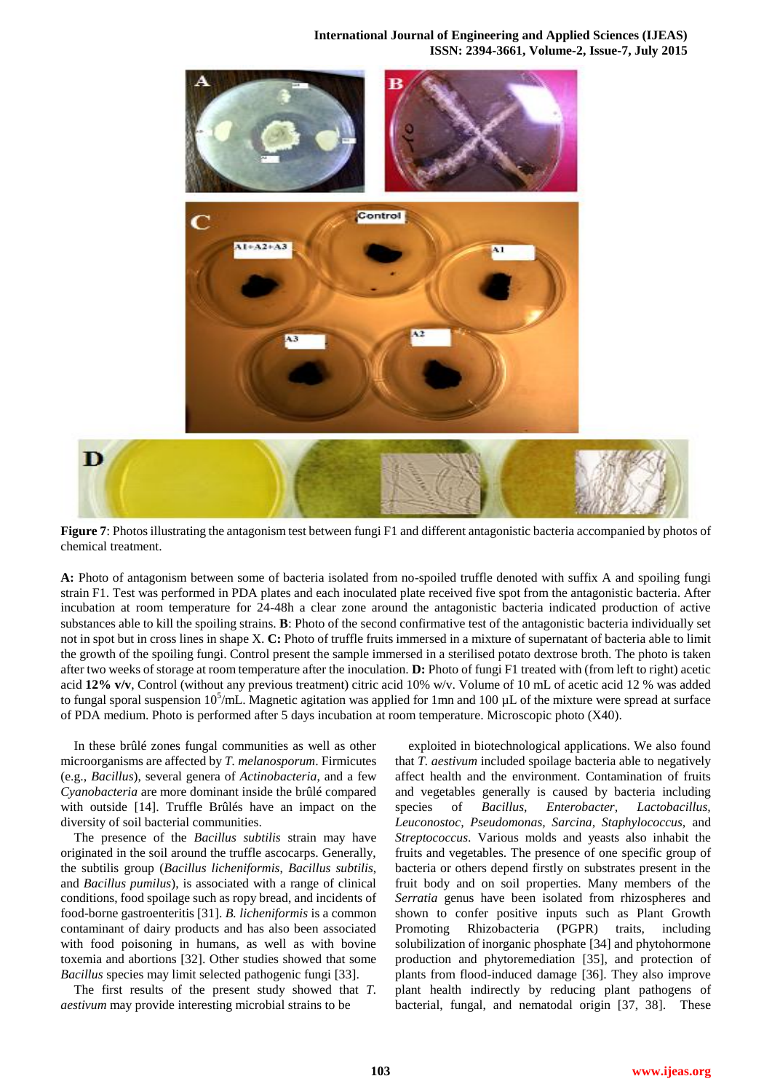**International Journal of Engineering and Applied Sciences (IJEAS) ISSN: 2394-3661, Volume-2, Issue-7, July 2015** 



**Figure 7**: Photos illustrating the antagonism test between fungi F1 and different antagonistic bacteria accompanied by photos of chemical treatment.

**A:** Photo of antagonism between some of bacteria isolated from no-spoiled truffle denoted with suffix A and spoiling fungi strain F1. Test was performed in PDA plates and each inoculated plate received five spot from the antagonistic bacteria. After incubation at room temperature for 24-48h a clear zone around the antagonistic bacteria indicated production of active substances able to kill the spoiling strains. **B**: Photo of the second confirmative test of the antagonistic bacteria individually set not in spot but in cross lines in shape X. **C:** Photo of truffle fruits immersed in a mixture of supernatant of bacteria able to limit the growth of the spoiling fungi. Control present the sample immersed in a sterilised potato dextrose broth. The photo is taken after two weeks of storage at room temperature after the inoculation. **D:** Photo of fungi F1 treated with (from left to right) acetic acid **12% v/v**, Control (without any previous treatment) citric acid 10% w/v. Volume of 10 mL of acetic acid 12 % was added to fungal sporal suspension  $10^5$ /mL. Magnetic agitation was applied for 1mn and 100 µL of the mixture were spread at surface of PDA medium. Photo is performed after 5 days incubation at room temperature. Microscopic photo (X40).

In these brûlé zones fungal communities as well as other microorganisms are affected by *T. melanosporum*. Firmicutes (e.g., *Bacillus*), several genera of *Actinobacteria*, and a few *Cyanobacteria* are more dominant inside the brûlé compared with outside [14]. Truffle Brûlés have an impact on the diversity of soil bacterial communities.

The presence of the *Bacillus subtilis* strain may have originated in the soil around the truffle ascocarps. Generally, the subtilis group (*Bacillus licheniformis*, *Bacillus subtilis*, and *Bacillus pumilus*), is associated with a range of clinical conditions, food spoilage such as ropy bread, and incidents of food-borne gastroenteritis [31]. *B. licheniformis* is a common contaminant of dairy products and has also been associated with food poisoning in humans, as well as with bovine toxemia and abortions [32]. Other studies showed that some *Bacillus* species may limit selected pathogenic fungi [33].

The first results of the present study showed that *T. aestivum* may provide interesting microbial strains to be

exploited in biotechnological applications. We also found that *T. aestivum* included spoilage bacteria able to negatively affect health and the environment. Contamination of fruits and vegetables generally is caused by bacteria including species of *Bacillus, Enterobacter, Lactobacillus, Leuconostoc, Pseudomonas, Sarcina, Staphylococcus,* and *Streptococcus*. Various molds and yeasts also inhabit the fruits and vegetables. The presence of one specific group of bacteria or others depend firstly on substrates present in the fruit body and on soil properties. Many members of the *Serratia* genus have been isolated from rhizospheres and shown to confer positive inputs such as Plant Growth Promoting Rhizobacteria (PGPR) traits, including solubilization of inorganic phosphate [34] and phytohormone production and phytoremediation [35], and protection of plants from flood-induced damage [36]. They also improve plant health indirectly by reducing plant pathogens of bacterial, fungal, and nematodal origin [37, 38]. These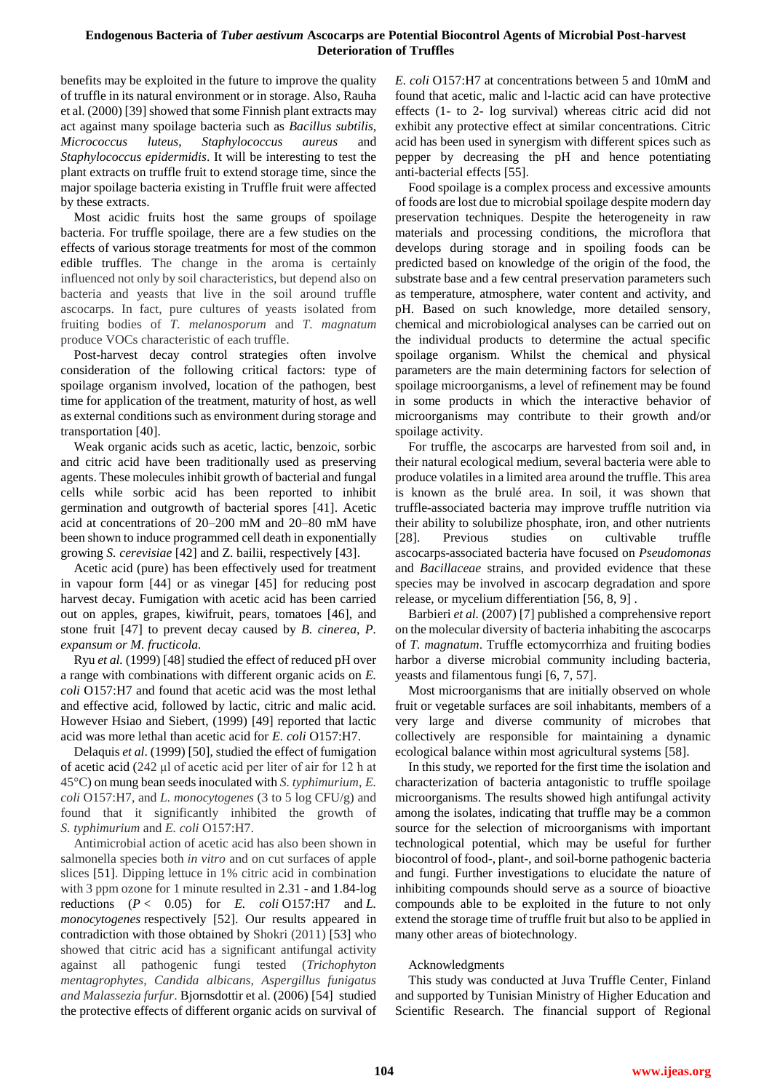benefits may be exploited in the future to improve the quality of truffle in its natural environment or in storage. Also, Rauha et al. (2000) [39] showed that some Finnish plant extracts may act against many spoilage bacteria such as *Bacillus subtilis*, *Micrococcus luteus*, *Staphylococcus aureus* and *Staphylococcus epidermidis*. It will be interesting to test the plant extracts on truffle fruit to extend storage time, since the major spoilage bacteria existing in Truffle fruit were affected by these extracts.

Most acidic fruits host the same groups of spoilage bacteria. For truffle spoilage, there are a few studies on the effects of various storage treatments for most of the common edible truffles. The change in the aroma is certainly influenced not only by soil characteristics, but depend also on bacteria and yeasts that live in the soil around truffle ascocarps. In fact, pure cultures of yeasts isolated from fruiting bodies of *T. melanosporum* and *T. magnatum* produce VOCs characteristic of each truffle.

Post-harvest decay control strategies often involve consideration of the following critical factors: type of spoilage organism involved, location of the pathogen, best time for application of the treatment, maturity of host, as well as external conditions such as environment during storage and transportation [40].

Weak organic acids such as acetic, lactic, benzoic, sorbic and citric acid have been traditionally used as preserving agents. These molecules inhibit growth of bacterial and fungal cells while sorbic acid has been reported to inhibit germination and outgrowth of bacterial spores [41]. Acetic acid at concentrations of 20–200 mM and 20–80 mM have been shown to induce programmed cell death in exponentially growing *S. cerevisiae* [42] and Z. bailii, respectively [43].

Acetic acid (pure) has been effectively used for treatment in vapour form [44] or as vinegar [45] for reducing post harvest decay. Fumigation with acetic acid has been carried out on apples, grapes, kiwifruit, pears, tomatoes [46], and stone fruit [47] to prevent decay caused by *B. cinerea, P. expansum or M. fructicola.* 

Ryu *et al.* (1999) [48] studied the effect of reduced pH over a range with combinations with different organic acids on *E. coli* O157:H7 and found that acetic acid was the most lethal and effective acid, followed by lactic, citric and malic acid. However Hsiao and Siebert, (1999) [49] reported that lactic acid was more lethal than acetic acid for *E. coli* O157:H7.

Delaquis *et al*. (1999) [50], studied the effect of fumigation of acetic acid (242 μl of acetic acid per liter of air for 12 h at 45°C) on mung bean seeds inoculated with *S. typhimurium*, *E. coli* O157:H7, and *L. monocytogenes* (3 to 5 log CFU/g) and found that it significantly inhibited the growth of *S. typhimurium* and *E. coli* O157:H7.

Antimicrobial action of acetic acid has also been shown in salmonella species both *in vitro* and on cut surfaces of apple slices [51]. Dipping lettuce in 1% citric acid in combination with 3 ppm ozone for 1 minute resulted in 2.31 - and 1.84-log reductions (*P* < 0.05) for *E. coli* O157:H7 and *L. monocytogenes* respectively [52]. Our results appeared in contradiction with those obtained by Shokri (2011) [53] who showed that citric acid has a significant antifungal activity against all pathogenic fungi tested (*Trichophyton mentagrophytes, Candida albicans, Aspergillus funigatus and Malassezia furfur*. Bjornsdottir et al. (2006) [54] studied the protective effects of different organic acids on survival of *E. coli* O157:H7 at concentrations between 5 and 10mM and found that acetic, malic and l-lactic acid can have protective effects (1- to 2- log survival) whereas citric acid did not exhibit any protective effect at similar concentrations. Citric acid has been used in synergism with different spices such as pepper by decreasing the pH and hence potentiating anti-bacterial effects [55].

Food spoilage is a complex process and excessive amounts of foods are lost due to microbial spoilage despite modern day preservation techniques. Despite the heterogeneity in raw materials and processing conditions, the microflora that develops during storage and in spoiling foods can be predicted based on knowledge of the origin of the food, the substrate base and a few central preservation parameters such as temperature, atmosphere, water content and activity, and pH. Based on such knowledge, more detailed sensory, chemical and microbiological analyses can be carried out on the individual products to determine the actual specific spoilage organism. Whilst the chemical and physical parameters are the main determining factors for selection of spoilage microorganisms, a level of refinement may be found in some products in which the interactive behavior of microorganisms may contribute to their growth and/or spoilage activity.

For truffle, the ascocarps are harvested from soil and, in their natural ecological medium, several bacteria were able to produce volatiles in a limited area around the truffle. This area is known as the brulé area. In soil, it was shown that truffle-associated bacteria may improve truffle nutrition via their ability to solubilize phosphate, iron, and other nutrients [28]. Previous studies on cultivable truffle ascocarps-associated bacteria have focused on *Pseudomonas* and *Bacillaceae* strains, and provided evidence that these species may be involved in ascocarp degradation and spore release, or mycelium differentiation [56, 8, 9] .

Barbieri *et al.* (2007) [7] published a comprehensive report on the molecular diversity of bacteria inhabiting the ascocarps of *T. magnatum*. Truffle ectomycorrhiza and fruiting bodies harbor a diverse microbial community including bacteria, yeasts and filamentous fungi [6, 7, 57].

Most microorganisms that are initially observed on whole fruit or vegetable surfaces are soil inhabitants, members of a very large and diverse community of microbes that collectively are responsible for maintaining a dynamic ecological balance within most agricultural systems [58].

In this study, we reported for the first time the isolation and characterization of bacteria antagonistic to truffle spoilage microorganisms. The results showed high antifungal activity among the isolates, indicating that truffle may be a common source for the selection of microorganisms with important technological potential, which may be useful for further biocontrol of food-, plant-, and soil-borne pathogenic bacteria and fungi. Further investigations to elucidate the nature of inhibiting compounds should serve as a source of bioactive compounds able to be exploited in the future to not only extend the storage time of truffle fruit but also to be applied in many other areas of biotechnology.

# Acknowledgments

This study was conducted at Juva Truffle Center, Finland and supported by Tunisian Ministry of Higher Education and Scientific Research. The financial support of Regional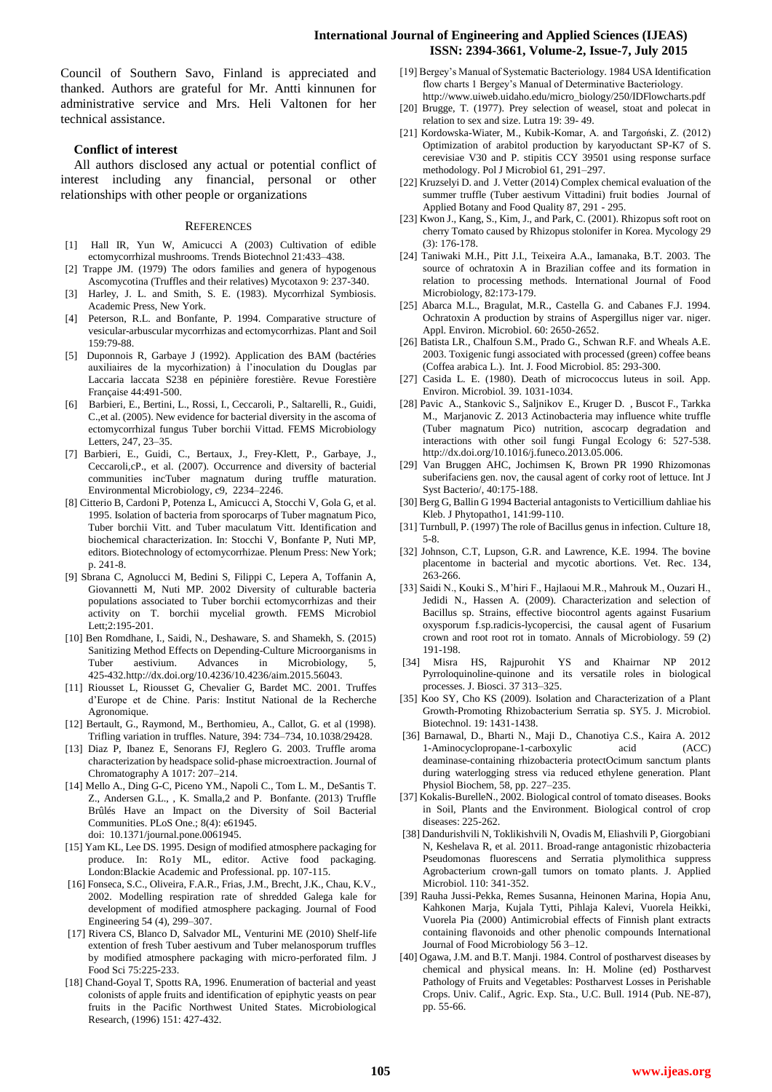Council of Southern Savo, Finland is appreciated and thanked. Authors are grateful for Mr. Antti kinnunen for administrative service and Mrs. Heli Valtonen for her technical assistance.

# **Conflict of interest**

All authors disclosed any actual or potential conflict of interest including any financial, personal or other relationships with other people or organizations

#### **REFERENCES**

- [1] Hall IR, Yun W, Amicucci A (2003) Cultivation of edible ectomycorrhizal mushrooms. Trends Biotechnol 21:433–438.
- [2] Trappe JM. (1979) The odors families and genera of hypogenous Ascomycotina (Truffles and their relatives) Mycotaxon 9: 237-340.
- [3] Harley, J. L. and Smith, S. E. (1983). Mycorrhizal Symbiosis. Academic Press, New York.
- [4] Peterson, R.L. and Bonfante, P. 1994. Comparative structure of vesicular-arbuscular mycorrhizas and ectomycorrhizas. Plant and Soil 159:79-88.
- [5] Duponnois R, Garbaye J (1992). Application des BAM (bactéries auxiliaires de la mycorhization) à l'inoculation du Douglas par Laccaria laccata S238 en pépinière forestière. Revue Forestière Française 44:491-500.
- [6] Barbieri, E., Bertini, L., Rossi, I., Ceccaroli, P., Saltarelli, R., Guidi, C.,et al. (2005). New evidence for bacterial diversity in the ascoma of ectomycorrhizal fungus Tuber borchii Vittad. FEMS Microbiology Letters, 247, 23–35.
- [7] Barbieri, E., Guidi, C., Bertaux, J., Frey-Klett, P., Garbaye, J., Ceccaroli,cP., et al. (2007). Occurrence and diversity of bacterial communities incTuber magnatum during truffle maturation. Environmental Microbiology, c9, 2234–2246.
- [8] Citterio B, Cardoni P, Potenza L, Amicucci A, Stocchi V, Gola G, et al. 1995. Isolation of bacteria from sporocarps of Tuber magnatum Pico, Tuber borchii Vitt. and Tuber maculatum Vitt. Identification and biochemical characterization. In: Stocchi V, Bonfante P, Nuti MP, editors. Biotechnology of ectomycorrhizae. Plenum Press: New York; p. 241-8.
- [9] Sbrana C, Agnolucci M, Bedini S, Filippi C, Lepera A, Toffanin A, Giovannetti M, Nuti MP. 2002 Diversity of culturable bacteria populations associated to Tuber borchii ectomycorrhizas and their activity on T. borchii mycelial growth. FEMS Microbiol Lett;2:195-201.
- [10] Ben Romdhane, I., Saidi, N., Deshaware, S. and Shamekh, S. (2015) Sanitizing Method Effects on Depending-Culture Microorganisms in Tuber aestivium. Advances in Microbiology, 5, 425-432.http://dx.doi.org/10.4236/10.4236/aim.2015.56043.
- [11] Riousset L, Riousset G, Chevalier G, Bardet MC. 2001. Truffes d'Europe et de Chine. Paris: Institut National de la Recherche Agronomique.
- [12] Bertault, G., Raymond, M., Berthomieu, A., Callot, G. et al (1998). Trifling variation in truffles. Nature, 394: 734–734, 10.1038/29428.
- [13] Diaz P, Ibanez E, Senorans FJ, Reglero G. 2003. Truffle aroma characterization by headspace solid-phase microextraction. Journal of Chromatography A 1017: 207–214.
- [14] Mello A., Ding G-C, Piceno YM., Napoli C., Tom L. M., DeSantis T. Z., Andersen G.L., , K. Smalla,2 and P. Bonfante. (2013) Truffle Brûlés Have an Impact on the Diversity of Soil Bacterial Communities. PLoS One.; 8(4): e61945. doi: 10.1371/journal.pone.0061945.
- [15] Yam KL, Lee DS. 1995. Design of modified atmosphere packaging for produce. In: Ro1y ML, editor. Active food packaging. London:Blackie Academic and Professional. pp. 107-115.
- [16] Fonseca, S.C., Oliveira, F.A.R., Frias, J.M., Brecht, J.K., Chau, K.V., 2002. Modelling respiration rate of shredded Galega kale for development of modified atmosphere packaging. Journal of Food Engineering 54 (4), 299–307.
- [17] Rivera CS, Blanco D, Salvador ML, Venturini ME (2010) Shelf-life extention of fresh Tuber aestivum and Tuber melanosporum truffles by modified atmosphere packaging with micro-perforated film. J Food Sci 75:225-233.
- [18] Chand-Goyal T, Spotts RA, 1996. Enumeration of bacterial and yeast colonists of apple fruits and identification of epiphytic yeasts on pear fruits in the Pacific Northwest United States. Microbiological Research, (1996) 151: 427-432.
- [19] Bergey's Manual of Systematic Bacteriology. 1984 USA Identification flow charts 1 Bergey's Manual of Determinative Bacteriology. http://www.uiweb.uidaho.edu/micro\_biology/250/IDFlowcharts.pdf
- [20] Brugge, T. (1977). Prey selection of weasel, stoat and polecat in relation to sex and size. Lutra 19: 39- 49.
- [21] Kordowska-Wiater, M., Kubik-Komar, A. and Targoński, Z. (2012) Optimization of arabitol production by karyoductant SP-K7 of S. cerevisiae V30 and P. stipitis CCY 39501 using response surface methodology. Pol J Microbiol 61, 291–297.
- [22] Kruzselyi D. and J. Vetter (2014) Complex chemical evaluation of the summer truffle (Tuber aestivum Vittadini) fruit bodies Journal of Applied Botany and Food Quality 87, 291 - 295.
- [23] Kwon J., Kang, S., Kim, J., and Park, C. (2001). Rhizopus soft root on cherry Tomato caused by Rhizopus stolonifer in Korea. Mycology 29 (3): 176-178.
- [24] Taniwaki M.H., Pitt J.I., Teixeira A.A., Iamanaka, B.T. 2003. The source of ochratoxin A in Brazilian coffee and its formation in relation to processing methods. International Journal of Food Microbiology, 82:173-179.
- [25] Abarca M.L., Bragulat, M.R., Castella G. and Cabanes F.J. 1994. Ochratoxin A production by strains of Aspergillus niger var. niger. Appl. Environ. Microbiol. 60: 2650-2652.
- [26] Batista LR., Chalfoun S.M., Prado G., Schwan R.F. and Wheals A.E. 2003. Toxigenic fungi associated with processed (green) coffee beans (Coffea arabica L.). Int. J. Food Microbiol. 85: 293-300.
- [27] Casida L. E. (1980). Death of micrococcus luteus in soil. App. Environ. Microbiol. 39. 1031-1034.
- [28] Pavic A., Stankovic S., Saljnikov E., Kruger D. , Buscot F., Tarkka M., Marjanovic Z. 2013 Actinobacteria may influence white truffle (Tuber magnatum Pico) nutrition, ascocarp degradation and interactions with other soil fungi Fungal Ecology 6: 527-538. http://dx.doi.org/10.1016/j.funeco.2013.05.006.
- [29] Van Bruggen AHC, Jochimsen K, Brown PR 1990 Rhizomonas suberifaciens gen. nov, the causal agent of corky root of lettuce. Int J Syst Bacterio/, 40:175-188.
- [30] Berg G, Ballin G 1994 Bacterial antagonists to Verticillium dahliae his Kleb. J Phytopatho1, 141:99-110.
- [31] Turnbull, P. (1997) The role of Bacillus genus in infection. Culture 18, 5-8.
- [32] Johnson, C.T, Lupson, G.R. and Lawrence, K.E. 1994. The bovine placentome in bacterial and mycotic abortions. Vet. Rec. 134, 263-266.
- [33] Saidi N., Kouki S., M'hiri F., Hajlaoui M.R., Mahrouk M., Ouzari H., Jedidi N., Hassen A. (2009). Characterization and selection of Bacillus sp. Strains, effective biocontrol agents against Fusarium oxysporum f.sp.radicis-lycopercisi, the causal agent of Fusarium crown and root root rot in tomato. Annals of Microbiology. 59 (2) 191-198.
- [34] Misra HS, Rajpurohit YS and Khairnar NP 2012 Pyrroloquinoline-quinone and its versatile roles in biological processes. J. Biosci. 37 313–325.
- [35] Koo SY, Cho KS (2009). Isolation and Characterization of a Plant Growth-Promoting Rhizobacterium Serratia sp. SY5. J. Microbiol. Biotechnol. 19: 1431-1438.
- [36] Barnawal, D., Bharti N., Maji D., Chanotiya C.S., Kaira A. 2012 1-Aminocyclopropane-1-carboxylic acid (ACC) deaminase-containing rhizobacteria protectOcimum sanctum plants during waterlogging stress via reduced ethylene generation. Plant Physiol Biochem, 58, pp. 227–235.
- [37] Kokalis-BurelleN., 2002. Biological control of tomato diseases. Books in Soil, Plants and the Environment. Biological control of crop diseases: 225-262.
- [38] Dandurishvili N, Toklikishvili N, Ovadis M, Eliashvili P, Giorgobiani N, Keshelava R, et al. 2011. Broad-range antagonistic rhizobacteria Pseudomonas fluorescens and Serratia plymolithica suppress Agrobacterium crown-gall tumors on tomato plants. J. Applied Microbiol. 110: 341-352.
- [39] Rauha Jussi-Pekka, Remes Susanna, Heinonen Marina, Hopia Anu, Kahkonen Marja, Kujala Tytti, Pihlaja Kalevi, Vuorela Heikki, Vuorela Pia (2000) Antimicrobial effects of Finnish plant extracts containing flavonoids and other phenolic compounds International Journal of Food Microbiology 56 3–12.
- [40] Ogawa, J.M. and B.T. Manji. 1984. Control of postharvest diseases by chemical and physical means. In: H. Moline (ed) Postharvest Pathology of Fruits and Vegetables: Postharvest Losses in Perishable Crops. Univ. Calif., Agric. Exp. Sta., U.C. Bull. 1914 (Pub. NE-87), pp. 55-66.